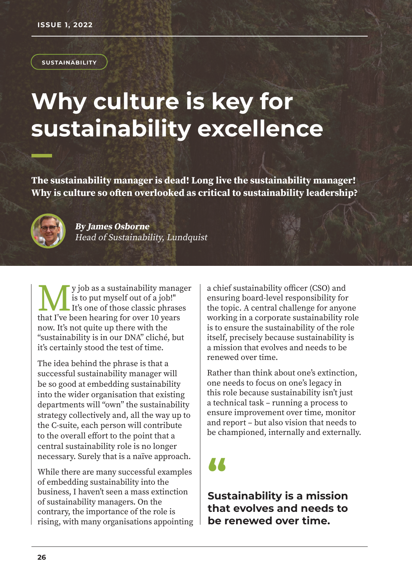#### **SUSTAINABILITY**

# **Why culture is key for sustainability excellence**

**The sustainability manager is dead! Long live the sustainability manager! Why is culture so often overlooked as critical to sustainability leadership?**



**By James Osborne**  Head of Sustainability, Lundquist

**M** y job as a sustainability manage is to put myself out of a job!"<br>It's one of those classic phrase that I've been hearing for over 10 years y job as a sustainability manager is to put myself out of a job!" It's one of those classic phrases now. It's not quite up there with the "sustainability is in our DNA" cliché, but it's certainly stood the test of time.

The idea behind the phrase is that a successful sustainability manager will be so good at embedding sustainability into the wider organisation that existing departments will "own" the sustainability strategy collectively and, all the way up to the C-suite, each person will contribute to the overall effort to the point that a central sustainability role is no longer necessary. Surely that is a naïve approach.

While there are many successful examples of embedding sustainability into the business, I haven't seen a mass extinction of sustainability managers. On the contrary, the importance of the role is rising, with many organisations appointing a chief sustainability officer (CSO) and ensuring board-level responsibility for the topic. A central challenge for anyone working in a corporate sustainability role is to ensure the sustainability of the role itself, precisely because sustainability is a mission that evolves and needs to be renewed over time.

Rather than think about one's extinction, one needs to focus on one's legacy in this role because sustainability isn't just a technical task – running a process to ensure improvement over time, monitor and report – but also vision that needs to be championed, internally and externally.

## **"**

**Sustainability is a mission that evolves and needs to be renewed over time.**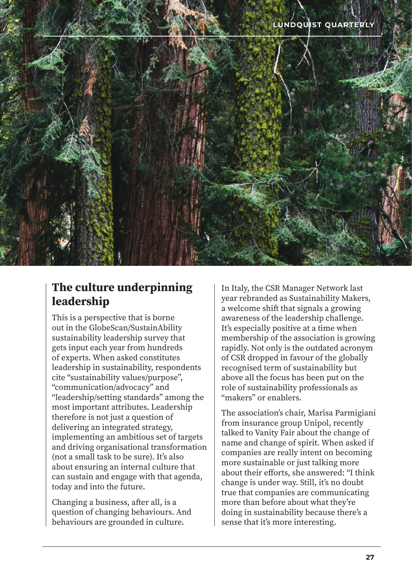

#### **The culture underpinning leadership**

This is a perspective that is borne out in the GlobeScan/SustainAbility sustainability leadership survey that gets input each year from hundreds of experts. When asked constitutes leadership in sustainability, respondents cite "sustainability values/purpose", "communication/advocacy" and "leadership/setting standards" among the most important attributes. Leadership therefore is not just a question of delivering an integrated strategy, implementing an ambitious set of targets and driving organisational transformation (not a small task to be sure). It's also about ensuring an internal culture that can sustain and engage with that agenda, today and into the future.

Changing a business, after all, is a question of changing behaviours. And behaviours are grounded in culture.

In Italy, the CSR Manager Network last year rebranded as Sustainability Makers, a welcome shift that signals a growing awareness of the leadership challenge. It's especially positive at a time when membership of the association is growing rapidly. Not only is the outdated acronym of CSR dropped in favour of the globally recognised term of sustainability but above all the focus has been put on the role of sustainability professionals as "makers" or enablers.

The association's chair, Marisa Parmigiani from insurance group Unipol, recently talked to Vanity Fair about the change of name and change of spirit. When asked if companies are really intent on becoming more sustainable or just talking more about their efforts, she answered: "I think change is under way. Still, it's no doubt true that companies are communicating more than before about what they're doing in sustainability because there's a sense that it's more interesting.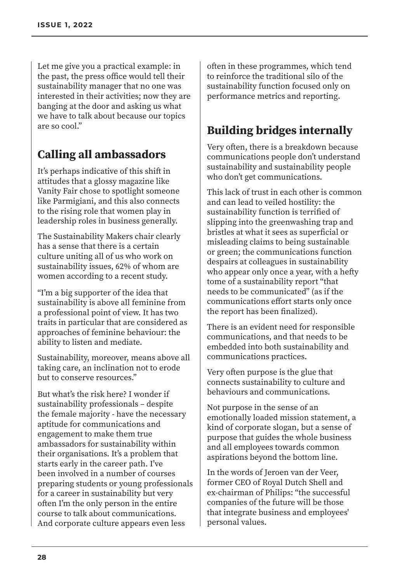Let me give you a practical example: in the past, the press office would tell their sustainability manager that no one was interested in their activities; now they are banging at the door and asking us what we have to talk about because our topics are so cool."

#### **Calling all ambassadors**

It's perhaps indicative of this shift in attitudes that a glossy magazine like Vanity Fair chose to spotlight someone like Parmigiani, and this also connects to the rising role that women play in leadership roles in business generally.

The Sustainability Makers chair clearly has a sense that there is a certain culture uniting all of us who work on sustainability issues, 62% of whom are women according to a recent study.

"I'm a big supporter of the idea that sustainability is above all feminine from a professional point of view. It has two traits in particular that are considered as approaches of feminine behaviour: the ability to listen and mediate.

Sustainability, moreover, means above all taking care, an inclination not to erode but to conserve resources."

But what's the risk here? I wonder if sustainability professionals – despite the female majority - have the necessary aptitude for communications and engagement to make them true ambassadors for sustainability within their organisations. It's a problem that starts early in the career path. I've been involved in a number of courses preparing students or young professionals for a career in sustainability but very often I'm the only person in the entire course to talk about communications. And corporate culture appears even less

often in these programmes, which tend to reinforce the traditional silo of the sustainability function focused only on performance metrics and reporting.

### **Building bridges internally**

Very often, there is a breakdown because communications people don't understand sustainability and sustainability people who don't get communications.

This lack of trust in each other is common and can lead to veiled hostility: the sustainability function is terrified of slipping into the greenwashing trap and bristles at what it sees as superficial or misleading claims to being sustainable or green; the communications function despairs at colleagues in sustainability who appear only once a year, with a hefty tome of a sustainability report "that needs to be communicated" (as if the communications effort starts only once the report has been finalized).

There is an evident need for responsible communications, and that needs to be embedded into both sustainability and communications practices.

Very often purpose is the glue that connects sustainability to culture and behaviours and communications.

Not purpose in the sense of an emotionally loaded mission statement, a kind of corporate slogan, but a sense of purpose that guides the whole business and all employees towards common aspirations beyond the bottom line.

In the words of Jeroen van der Veer, former CEO of Royal Dutch Shell and ex-chairman of Philips: "the successful companies of the future will be those that integrate business and employees' personal values.